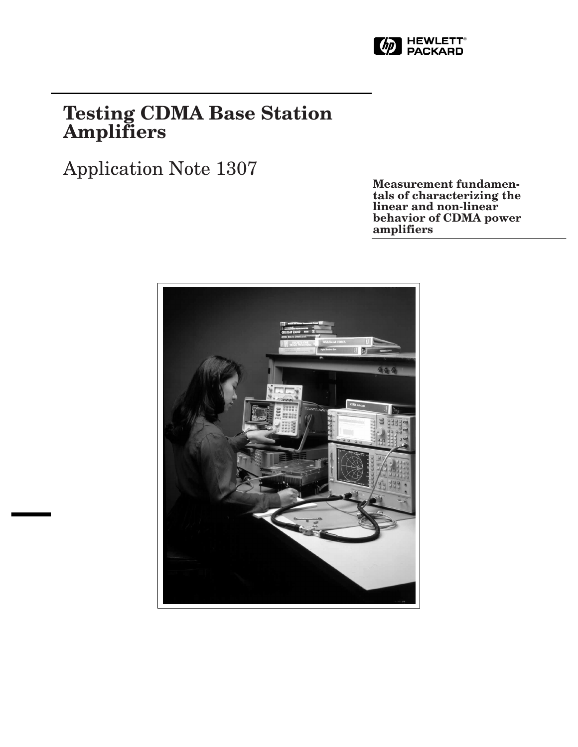

# **Testing CDMA Base Station Amplifiers**

Application Note 1307

**Measurement fundamentals of characterizing the linear and non-linear behavior of CDMA power amplifiers**

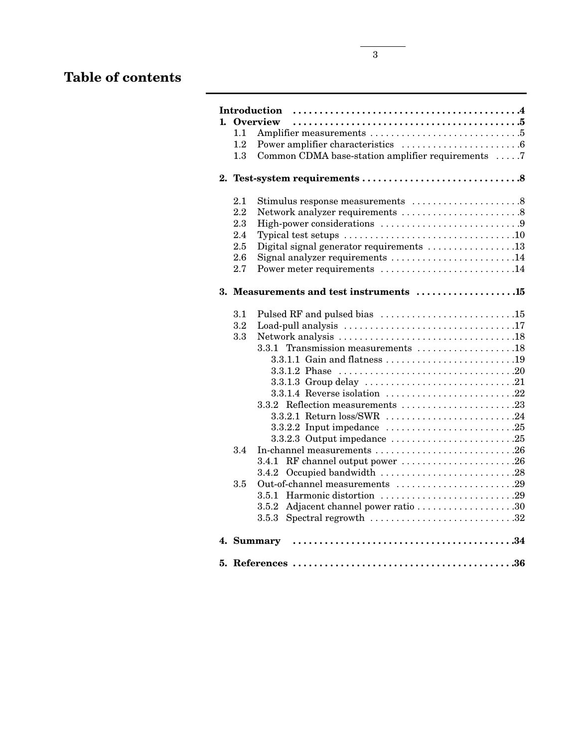# **Table of contents**

|         | 1. Overview                                       |  |
|---------|---------------------------------------------------|--|
| 1.1     |                                                   |  |
| $1.2\,$ |                                                   |  |
| 1.3     | Common CDMA base-station amplifier requirements 7 |  |
|         |                                                   |  |
| 2.1     |                                                   |  |
| 2.2     |                                                   |  |
| 2.3     |                                                   |  |
| 2.4     |                                                   |  |
| 2.5     | Digital signal generator requirements 13          |  |
| 2.6     | Signal analyzer requirements 14                   |  |
| 2.7     | Power meter requirements 14                       |  |
|         | 3. Measurements and test instruments 15           |  |
| 3.1     |                                                   |  |
| $3.2\,$ |                                                   |  |
| 3.3     |                                                   |  |
|         | 3.3.1 Transmission measurements 18                |  |
|         | 3.3.1.1 Gain and flatness 19                      |  |
|         |                                                   |  |
|         |                                                   |  |
|         |                                                   |  |
|         |                                                   |  |
|         | 3.3.2.1 Return loss/SWR 24                        |  |
|         |                                                   |  |
|         |                                                   |  |
| 3.4     | In-channel measurements 26                        |  |
|         | RF channel output power 26<br>3.4.1               |  |
|         | Occupied bandwidth 28<br>3.4.2                    |  |
| 3.5     | Out-of-channel measurements 29                    |  |
|         |                                                   |  |
|         |                                                   |  |
|         |                                                   |  |
|         |                                                   |  |
|         |                                                   |  |
|         |                                                   |  |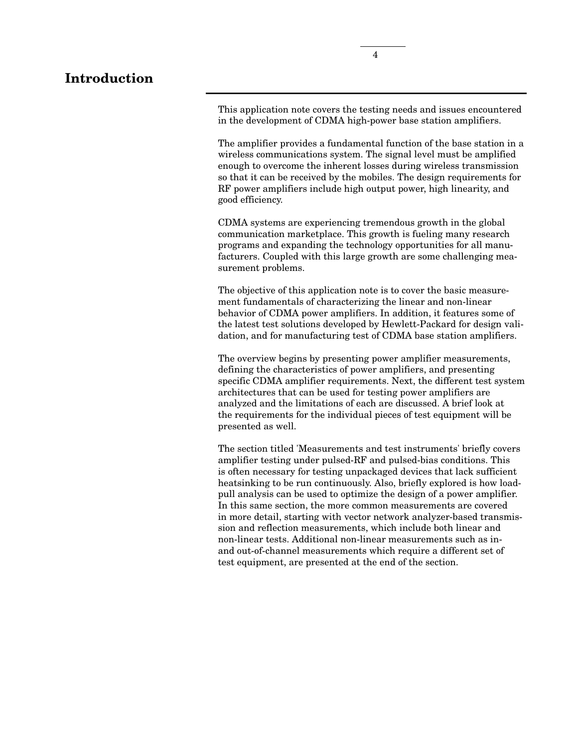# **Introduction**

This application note covers the testing needs and issues encountered in the development of CDMA high-power base station amplifiers.

The amplifier provides a fundamental function of the base station in a wireless communications system. The signal level must be amplified enough to overcome the inherent losses during wireless transmission so that it can be received by the mobiles. The design requirements for RF power amplifiers include high output power, high linearity, and good efficiency.

CDMA systems are experiencing tremendous growth in the global communication marketplace. This growth is fueling many research programs and expanding the technology opportunities for all manufacturers. Coupled with this large growth are some challenging measurement problems.

The objective of this application note is to cover the basic measurement fundamentals of characterizing the linear and non-linear behavior of CDMA power amplifiers. In addition, it features some of the latest test solutions developed by Hewlett-Packard for design validation, and for manufacturing test of CDMA base station amplifiers.

The overview begins by presenting power amplifier measurements, defining the characteristics of power amplifiers, and presenting specific CDMA amplifier requirements. Next, the different test system architectures that can be used for testing power amplifiers are analyzed and the limitations of each are discussed. A brief look at the requirements for the individual pieces of test equipment will be presented as well.

The section titled 'Measurements and test instruments' briefly covers amplifier testing under pulsed-RF and pulsed-bias conditions. This is often necessary for testing unpackaged devices that lack sufficient heatsinking to be run continuously. Also, briefly explored is how loadpull analysis can be used to optimize the design of a power amplifier. In this same section, the more common measurements are covered in more detail, starting with vector network analyzer-based transmission and reflection measurements, which include both linear and non-linear tests. Additional non-linear measurements such as inand out-of-channel measurements which require a different set of test equipment, are presented at the end of the section.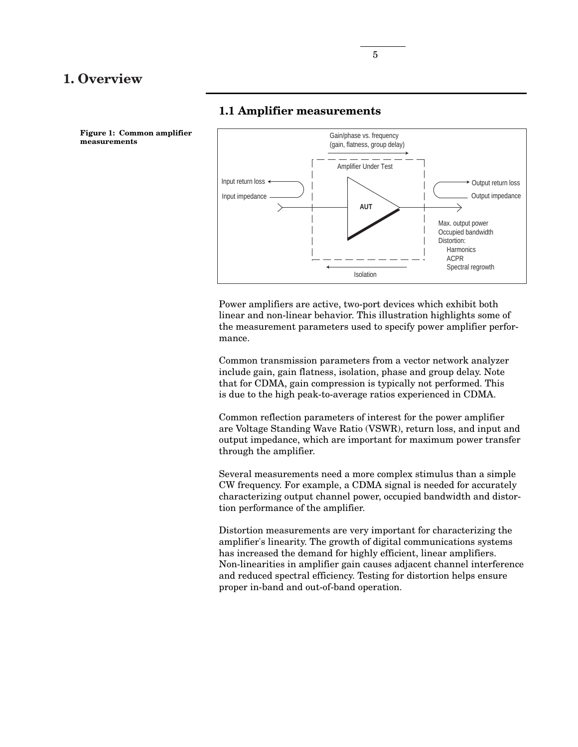# **1. Overview**



# **1.1 Amplifier measurements**

Power amplifiers are active, two-port devices which exhibit both linear and non-linear behavior. This illustration highlights some of the measurement parameters used to specify power amplifier performance.

Common transmission parameters from a vector network analyzer include gain, gain flatness, isolation, phase and group delay. Note that for CDMA, gain compression is typically not performed. This is due to the high peak-to-average ratios experienced in CDMA.

Common reflection parameters of interest for the power amplifier are Voltage Standing Wave Ratio (VSWR), return loss, and input and output impedance, which are important for maximum power transfer through the amplifier.

Several measurements need a more complex stimulus than a simple CW frequency. For example, a CDMA signal is needed for accurately characterizing output channel power, occupied bandwidth and distortion performance of the amplifier.

Distortion measurements are very important for characterizing the amplifier's linearity. The growth of digital communications systems has increased the demand for highly efficient, linear amplifiers. Non-linearities in amplifier gain causes adjacent channel interference and reduced spectral efficiency. Testing for distortion helps ensure proper in-band and out-of-band operation.

**Figure 1: Common amplifier measurements**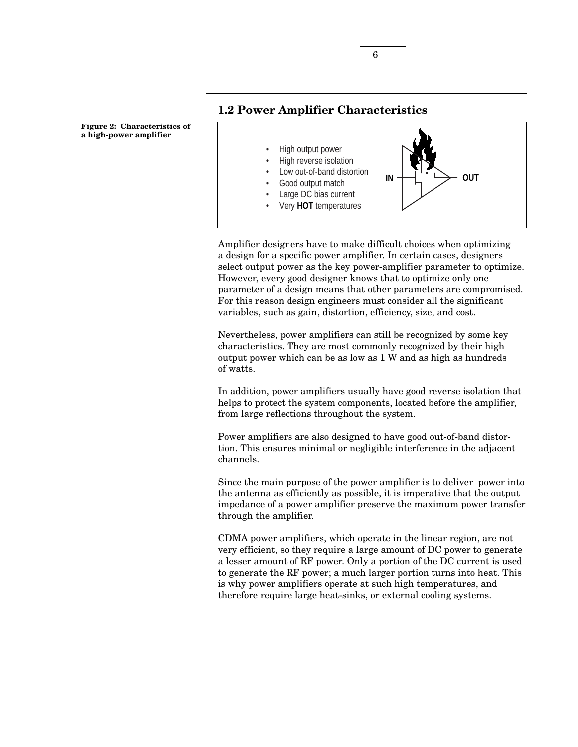**Figure 2: Characteristics of a high-power amplifier**

# **1.2 Power Amplifier Characteristics**



Amplifier designers have to make difficult choices when optimizing a design for a specific power amplifier. In certain cases, designers select output power as the key power-amplifier parameter to optimize. However, every good designer knows that to optimize only one parameter of a design means that other parameters are compromised. For this reason design engineers must consider all the significant variables, such as gain, distortion, efficiency, size, and cost.

Nevertheless, power amplifiers can still be recognized by some key characteristics. They are most commonly recognized by their high output power which can be as low as 1 W and as high as hundreds of watts.

In addition, power amplifiers usually have good reverse isolation that helps to protect the system components, located before the amplifier, from large reflections throughout the system.

Power amplifiers are also designed to have good out-of-band distortion. This ensures minimal or negligible interference in the adjacent channels.

Since the main purpose of the power amplifier is to deliver power into the antenna as efficiently as possible, it is imperative that the output impedance of a power amplifier preserve the maximum power transfer through the amplifier.

CDMA power amplifiers, which operate in the linear region, are not very efficient, so they require a large amount of DC power to generate a lesser amount of RF power. Only a portion of the DC current is used to generate the RF power; a much larger portion turns into heat. This is why power amplifiers operate at such high temperatures, and therefore require large heat-sinks, or external cooling systems.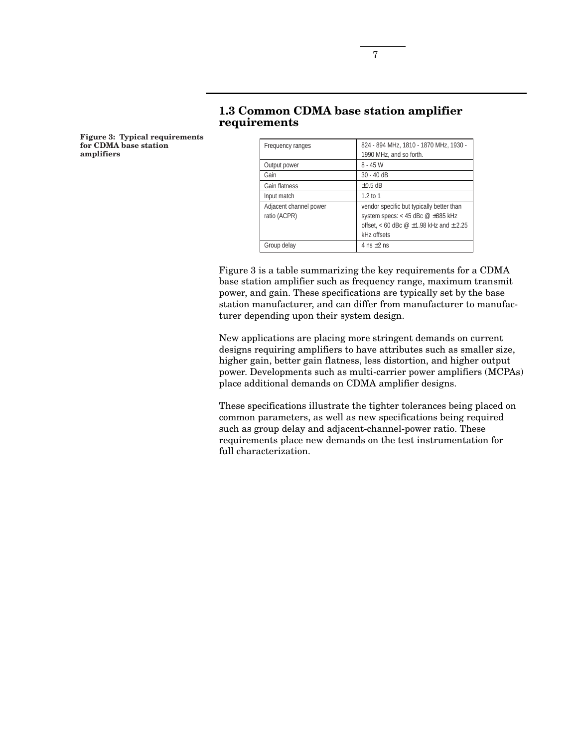| 1.3 Common CDMA base station amplifier |  |
|----------------------------------------|--|
| requirements                           |  |

Output power 8 - 45 W Gain 30 - 40 dB Gain flatness  $\left| \pm 0.5 \text{ dB} \right|$ Input match 1.2 to 1

Group delay  $4 \text{ ns } \pm 2 \text{ ns}$ 

Adjacent channel power ratio (ACPR)

Frequency ranges 824 - 894 MHz, 1810 - 1870 MHz, 1930 -

1990 MHz, and so forth.

vendor specific but typically better than system specs: < 45 dBc  $@ \pm 885 \textrm{ kHz}$ offset,  $<$  60 dBc  $@$   $\pm$ 1.98 kHz and  $\pm$  2.25

**Figure 3: Typical requirements for CDMA base station amplifiers**

| Figure 3 is a table summarizing the key requirements for a CDMA     |
|---------------------------------------------------------------------|
| base station amplifier such as frequency range, maximum transmit    |
| power, and gain. These specifications are typically set by the base |
| station manufacturer, and can differ from manufacturer to manufac-  |
| turer depending upon their system design.                           |

kHz offsets

New applications are placing more stringent demands on current designs requiring amplifiers to have attributes such as smaller size, higher gain, better gain flatness, less distortion, and higher output power. Developments such as multi-carrier power amplifiers (MCPAs) place additional demands on CDMA amplifier designs.

These specifications illustrate the tighter tolerances being placed on common parameters, as well as new specifications being required such as group delay and adjacent-channel-power ratio. These requirements place new demands on the test instrumentation for full characterization.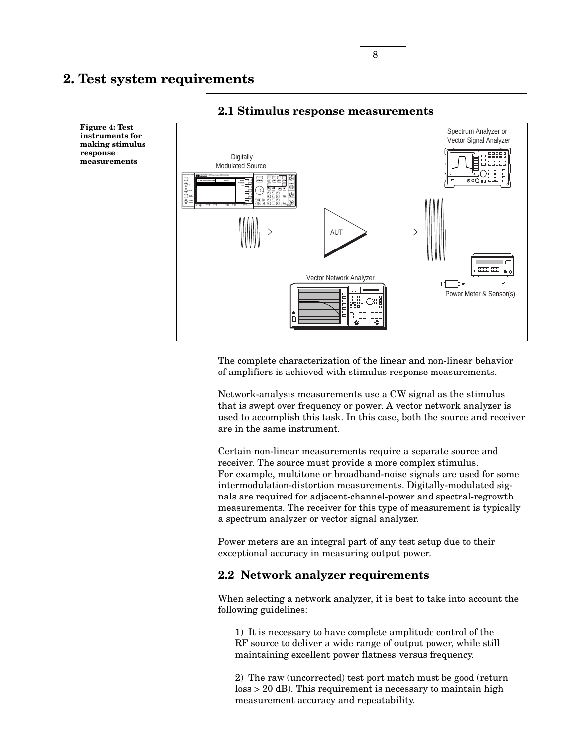Spectrum Analyzer or Vector Signal Analyzer **Digitally** Modulated Source **E4433B 250 kHz to 4.0 GHz Menus** 든 **4.000 000 000 00 GHz AMPLITUDE** ි **CLOCK More Inc. Preset Local More** AUT  $\Box$ 888 888 Vector Network Analyzer n. Power Meter & Sensor(s) 8 88 88  $\odot$ ക

### **2.1 Stimulus response measurements**

The complete characterization of the linear and non-linear behavior of amplifiers is achieved with stimulus response measurements.

Network-analysis measurements use a CW signal as the stimulus that is swept over frequency or power. A vector network analyzer is used to accomplish this task. In this case, both the source and receiver are in the same instrument.

Certain non-linear measurements require a separate source and receiver. The source must provide a more complex stimulus. For example, multitone or broadband-noise signals are used for some intermodulation-distortion measurements. Digitally-modulated signals are required for adjacent-channel-power and spectral-regrowth measurements. The receiver for this type of measurement is typically a spectrum analyzer or vector signal analyzer.

Power meters are an integral part of any test setup due to their exceptional accuracy in measuring output power.

## **2.2 Network analyzer requirements**

When selecting a network analyzer, it is best to take into account the following guidelines:

1) It is necessary to have complete amplitude control of the RF source to deliver a wide range of output power, while still maintaining excellent power flatness versus frequency.

2) The raw (uncorrected) test port match must be good (return loss > 20 dB). This requirement is necessary to maintain high measurement accuracy and repeatability.

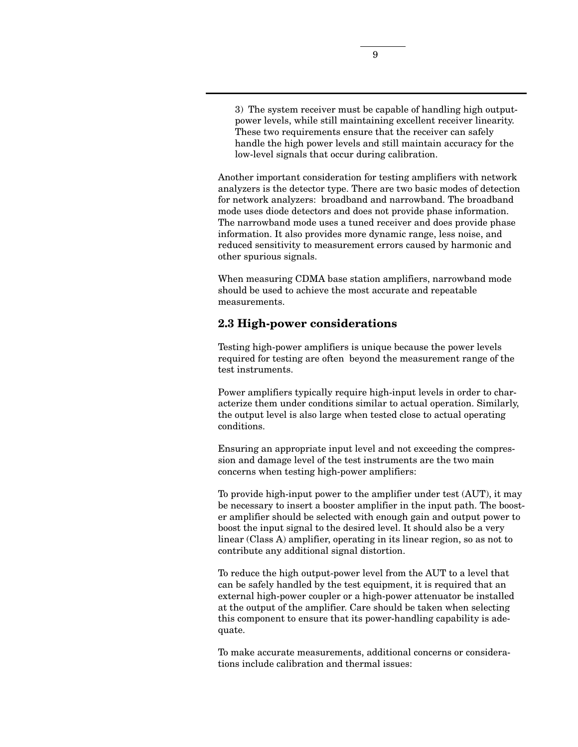3) The system receiver must be capable of handling high outputpower levels, while still maintaining excellent receiver linearity. These two requirements ensure that the receiver can safely handle the high power levels and still maintain accuracy for the low-level signals that occur during calibration.

Another important consideration for testing amplifiers with network analyzers is the detector type. There are two basic modes of detection for network analyzers: broadband and narrowband. The broadband mode uses diode detectors and does not provide phase information. The narrowband mode uses a tuned receiver and does provide phase information. It also provides more dynamic range, less noise, and reduced sensitivity to measurement errors caused by harmonic and other spurious signals.

When measuring CDMA base station amplifiers, narrowband mode should be used to achieve the most accurate and repeatable measurements.

### **2.3 High-power considerations**

Testing high-power amplifiers is unique because the power levels required for testing are often beyond the measurement range of the test instruments.

Power amplifiers typically require high-input levels in order to characterize them under conditions similar to actual operation. Similarly, the output level is also large when tested close to actual operating conditions.

Ensuring an appropriate input level and not exceeding the compression and damage level of the test instruments are the two main concerns when testing high-power amplifiers:

To provide high-input power to the amplifier under test (AUT), it may be necessary to insert a booster amplifier in the input path. The booster amplifier should be selected with enough gain and output power to boost the input signal to the desired level. It should also be a very linear (Class A) amplifier, operating in its linear region, so as not to contribute any additional signal distortion.

To reduce the high output-power level from the AUT to a level that can be safely handled by the test equipment, it is required that an external high-power coupler or a high-power attenuator be installed at the output of the amplifier. Care should be taken when selecting this component to ensure that its power-handling capability is adequate.

To make accurate measurements, additional concerns or considerations include calibration and thermal issues: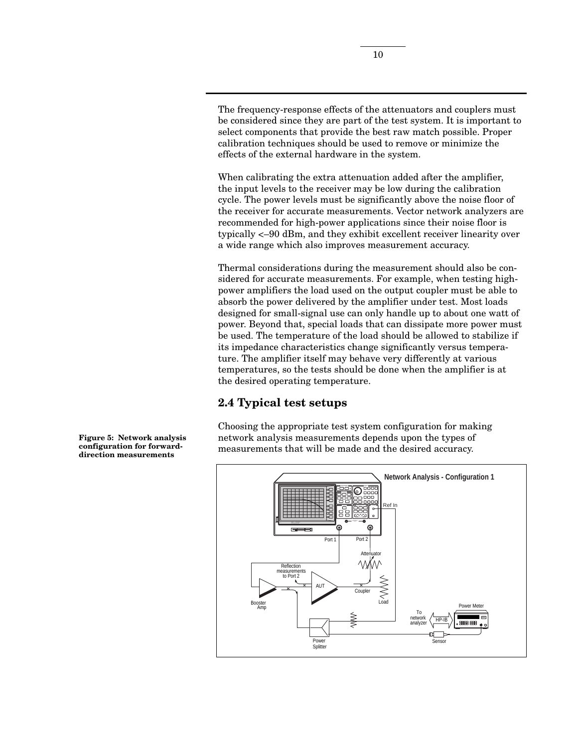The frequency-response effects of the attenuators and couplers must be considered since they are part of the test system. It is important to select components that provide the best raw match possible. Proper calibration techniques should be used to remove or minimize the effects of the external hardware in the system.

When calibrating the extra attenuation added after the amplifier, the input levels to the receiver may be low during the calibration cycle. The power levels must be significantly above the noise floor of the receiver for accurate measurements. Vector network analyzers are recommended for high-power applications since their noise floor is typically <–90 dBm, and they exhibit excellent receiver linearity over a wide range which also improves measurement accuracy.

Thermal considerations during the measurement should also be considered for accurate measurements. For example, when testing highpower amplifiers the load used on the output coupler must be able to absorb the power delivered by the amplifier under test. Most loads designed for small-signal use can only handle up to about one watt of power. Beyond that, special loads that can dissipate more power must be used. The temperature of the load should be allowed to stabilize if its impedance characteristics change significantly versus temperature. The amplifier itself may behave very differently at various temperatures, so the tests should be done when the amplifier is at the desired operating temperature.

# **2.4 Typical test setups**

Choosing the appropriate test system configuration for making network analysis measurements depends upon the types of measurements that will be made and the desired accuracy.



**Figure 5: Network analysis configuration for forwarddirection measurements**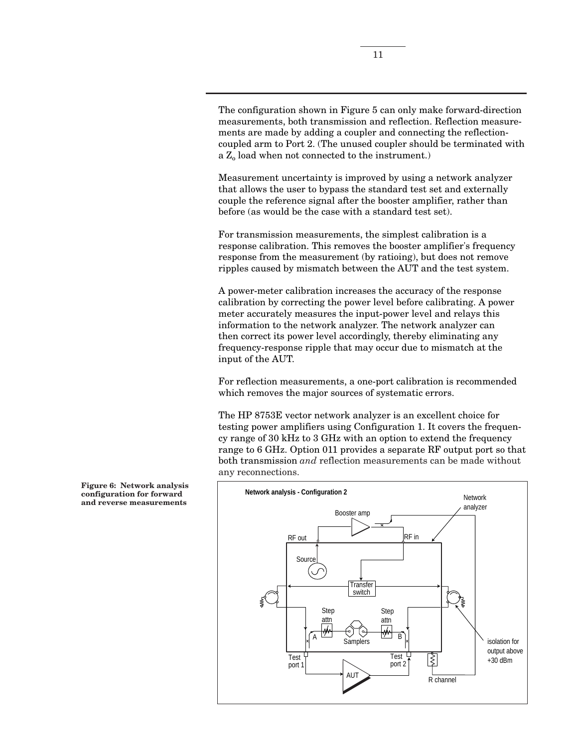The configuration shown in Figure 5 can only make forward-direction measurements, both transmission and reflection. Reflection measurements are made by adding a coupler and connecting the reflectioncoupled arm to Port 2. (The unused coupler should be terminated with a  $Z_0$  load when not connected to the instrument.)

Measurement uncertainty is improved by using a network analyzer that allows the user to bypass the standard test set and externally couple the reference signal after the booster amplifier, rather than before (as would be the case with a standard test set).

For transmission measurements, the simplest calibration is a response calibration. This removes the booster amplifier's frequency response from the measurement (by ratioing), but does not remove ripples caused by mismatch between the AUT and the test system.

A power-meter calibration increases the accuracy of the response calibration by correcting the power level before calibrating. A power meter accurately measures the input-power level and relays this information to the network analyzer. The network analyzer can then correct its power level accordingly, thereby eliminating any frequency-response ripple that may occur due to mismatch at the input of the AUT.

For reflection measurements, a one-port calibration is recommended which removes the major sources of systematic errors.

The HP 8753E vector network analyzer is an excellent choice for testing power amplifiers using Configuration 1. It covers the frequency range of 30 kHz to 3 GHz with an option to extend the frequency range to 6 GHz. Option 011 provides a separate RF output port so that both transmission *and* reflection measurements can be made without any reconnections.



**Figure 6: Network analysis configuration for forward and reverse measurements**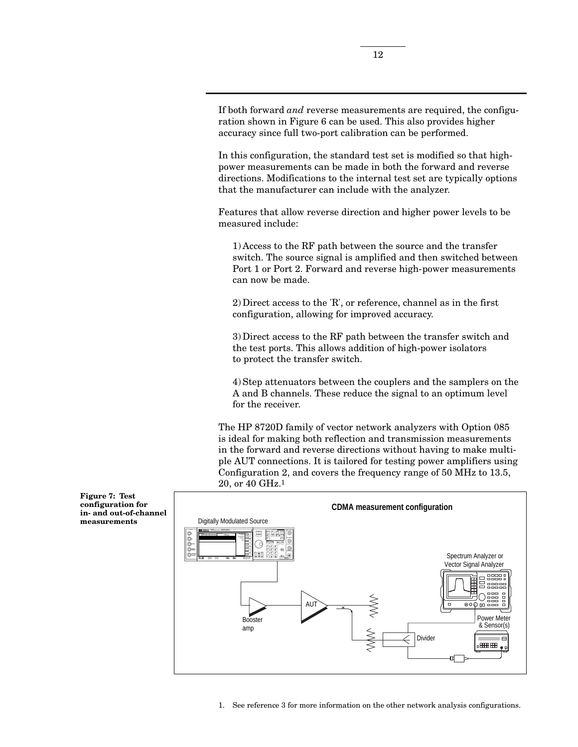If both forward *and* reverse measurements are required, the configuration shown in Figure 6 can be used. This also provides higher accuracy since full two-port calibration can be performed.

In this configuration, the standard test set is modified so that highpower measurements can be made in both the forward and reverse directions. Modifications to the internal test set are typically options that the manufacturer can include with the analyzer.

Features that allow reverse direction and higher power levels to be measured include:

1) Access to the RF path between the source and the transfer switch. The source signal is amplified and then switched between Port 1 or Port 2. Forward and reverse high-power measurements can now be made.

2) Direct access to the 'R', or reference, channel as in the first configuration, allowing for improved accuracy.

3) Direct access to the RF path between the transfer switch and the test ports. This allows addition of high-power isolators to protect the transfer switch.

4) Step attenuators between the couplers and the samplers on the A and B channels. These reduce the signal to an optimum level for the receiver.

The HP 8720D family of vector network analyzers with Option 085 is ideal for making both reflection and transmission measurements in the forward and reverse directions without having to make multiple AUT connections. It is tailored for testing power amplifiers using Configuration 2, and covers the frequency range of 50 MHz to 13.5, 20, or 40 GHz.1



**Figure 7: Test configuration for in- and out-of-channel measurements**

1. See reference 3 for more information on the other network analysis configurations.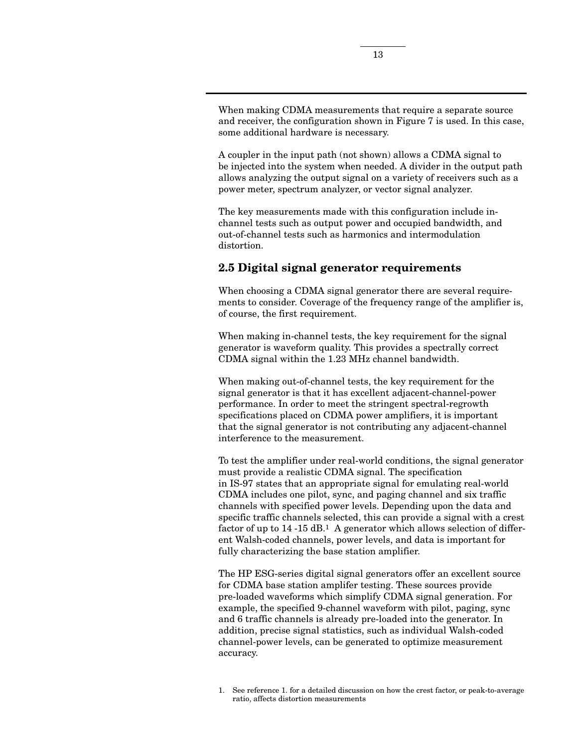When making CDMA measurements that require a separate source and receiver, the configuration shown in Figure 7 is used. In this case, some additional hardware is necessary.

A coupler in the input path (not shown) allows a CDMA signal to be injected into the system when needed. A divider in the output path allows analyzing the output signal on a variety of receivers such as a power meter, spectrum analyzer, or vector signal analyzer.

The key measurements made with this configuration include inchannel tests such as output power and occupied bandwidth, and out-of-channel tests such as harmonics and intermodulation distortion.

# **2.5 Digital signal generator requirements**

When choosing a CDMA signal generator there are several requirements to consider. Coverage of the frequency range of the amplifier is, of course, the first requirement.

When making in-channel tests, the key requirement for the signal generator is waveform quality. This provides a spectrally correct CDMA signal within the 1.23 MHz channel bandwidth.

When making out-of-channel tests, the key requirement for the signal generator is that it has excellent adjacent-channel-power performance. In order to meet the stringent spectral-regrowth specifications placed on CDMA power amplifiers, it is important that the signal generator is not contributing any adjacent-channel interference to the measurement.

To test the amplifier under real-world conditions, the signal generator must provide a realistic CDMA signal. The specification in IS-97 states that an appropriate signal for emulating real-world CDMA includes one pilot, sync, and paging channel and six traffic channels with specified power levels. Depending upon the data and specific traffic channels selected, this can provide a signal with a crest factor of up to 14 -15 dB.1 A generator which allows selection of different Walsh-coded channels, power levels, and data is important for fully characterizing the base station amplifier.

The HP ESG-series digital signal generators offer an excellent source for CDMA base station amplifer testing. These sources provide pre-loaded waveforms which simplify CDMA signal generation. For example, the specified 9-channel waveform with pilot, paging, sync and 6 traffic channels is already pre-loaded into the generator. In addition, precise signal statistics, such as individual Walsh-coded channel-power levels, can be generated to optimize measurement accuracy.

<sup>1.</sup> See reference 1. for a detailed discussion on how the crest factor, or peak-to-average ratio, affects distortion measurements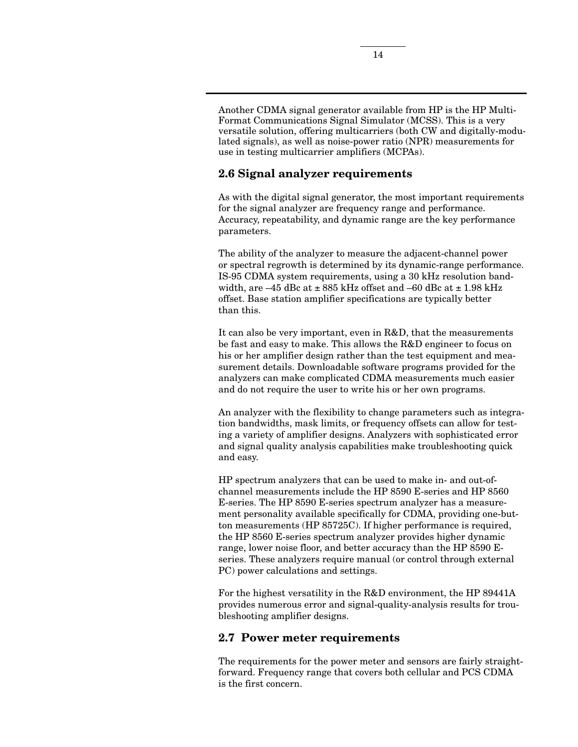Another CDMA signal generator available from HP is the HP Multi-Format Communications Signal Simulator (MCSS). This is a very versatile solution, offering multicarriers (both CW and digitally-modulated signals), as well as noise-power ratio (NPR) measurements for use in testing multicarrier amplifiers (MCPAs).

# **2.6 Signal analyzer requirements**

As with the digital signal generator, the most important requirements for the signal analyzer are frequency range and performance. Accuracy, repeatability, and dynamic range are the key performance parameters.

The ability of the analyzer to measure the adjacent-channel power or spectral regrowth is determined by its dynamic-range performance. IS-95 CDMA system requirements, using a 30 kHz resolution bandwidth, are  $-45$  dBc at  $\pm 885$  kHz offset and  $-60$  dBc at  $\pm 1.98$  kHz offset. Base station amplifier specifications are typically better than this.

It can also be very important, even in R&D, that the measurements be fast and easy to make. This allows the R&D engineer to focus on his or her amplifier design rather than the test equipment and measurement details. Downloadable software programs provided for the analyzers can make complicated CDMA measurements much easier and do not require the user to write his or her own programs.

An analyzer with the flexibility to change parameters such as integration bandwidths, mask limits, or frequency offsets can allow for testing a variety of amplifier designs. Analyzers with sophisticated error and signal quality analysis capabilities make troubleshooting quick and easy.

HP spectrum analyzers that can be used to make in- and out-ofchannel measurements include the HP 8590 E-series and HP 8560 E-series. The HP 8590 E-series spectrum analyzer has a measurement personality available specifically for CDMA, providing one-button measurements (HP 85725C). If higher performance is required, the HP 8560 E-series spectrum analyzer provides higher dynamic range, lower noise floor, and better accuracy than the HP 8590 Eseries. These analyzers require manual (or control through external PC) power calculations and settings.

For the highest versatility in the R&D environment, the HP 89441A provides numerous error and signal-quality-analysis results for troubleshooting amplifier designs.

## **2.7 Power meter requirements**

The requirements for the power meter and sensors are fairly straightforward. Frequency range that covers both cellular and PCS CDMA is the first concern.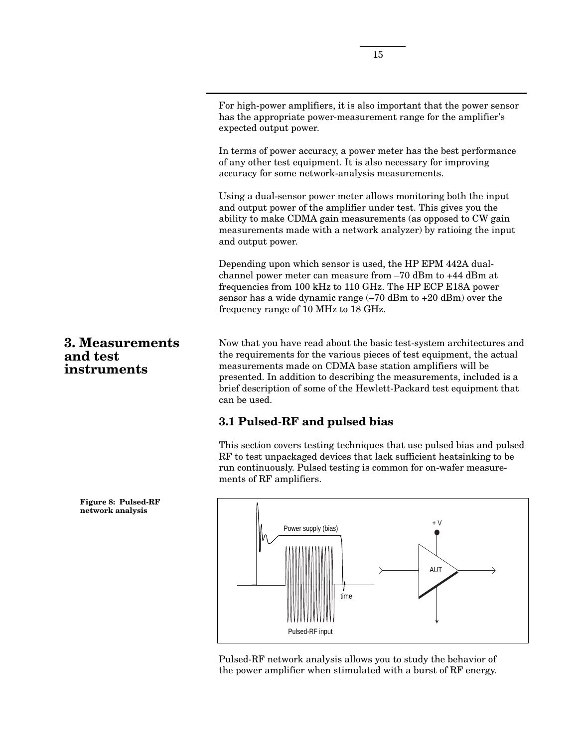For high-power amplifiers, it is also important that the power sensor has the appropriate power-measurement range for the amplifier's expected output power.

In terms of power accuracy, a power meter has the best performance of any other test equipment. It is also necessary for improving accuracy for some network-analysis measurements.

Using a dual-sensor power meter allows monitoring both the input and output power of the amplifier under test. This gives you the ability to make CDMA gain measurements (as opposed to CW gain measurements made with a network analyzer) by ratioing the input and output power.

Depending upon which sensor is used, the HP EPM 442A dualchannel power meter can measure from –70 dBm to +44 dBm at frequencies from 100 kHz to 110 GHz. The HP ECP E18A power sensor has a wide dynamic range  $(-70$  dBm to  $+20$  dBm) over the frequency range of 10 MHz to 18 GHz.

Now that you have read about the basic test-system architectures and the requirements for the various pieces of test equipment, the actual measurements made on CDMA base station amplifiers will be presented. In addition to describing the measurements, included is a brief description of some of the Hewlett-Packard test equipment that can be used.

# **3.1 Pulsed-RF and pulsed bias**

This section covers testing techniques that use pulsed bias and pulsed RF to test unpackaged devices that lack sufficient heatsinking to be run continuously. Pulsed testing is common for on-wafer measurements of RF amplifiers.



Pulsed-RF network analysis allows you to study the behavior of the power amplifier when stimulated with a burst of RF energy.

**and test instruments**

**3. Measurements**

**Figure 8: Pulsed-RF network analysis**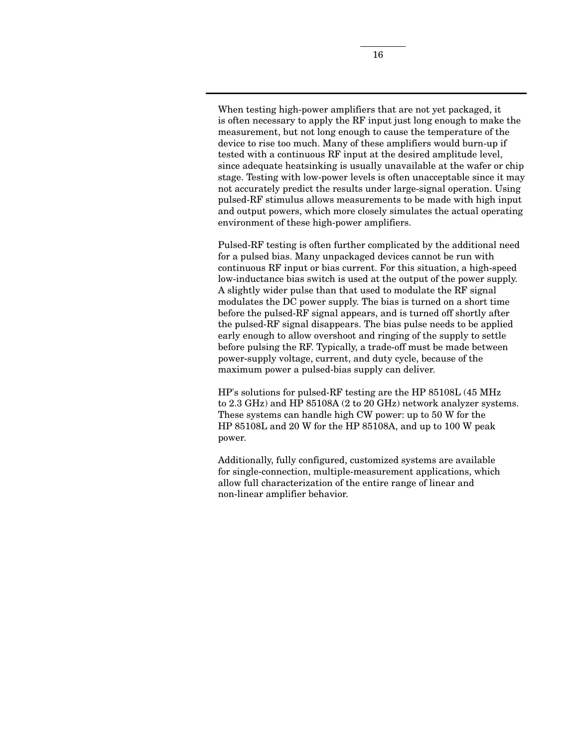When testing high-power amplifiers that are not yet packaged, it is often necessary to apply the RF input just long enough to make the measurement, but not long enough to cause the temperature of the device to rise too much. Many of these amplifiers would burn-up if tested with a continuous RF input at the desired amplitude level, since adequate heatsinking is usually unavailable at the wafer or chip stage. Testing with low-power levels is often unacceptable since it may not accurately predict the results under large-signal operation. Using pulsed-RF stimulus allows measurements to be made with high input and output powers, which more closely simulates the actual operating environment of these high-power amplifiers.

Pulsed-RF testing is often further complicated by the additional need for a pulsed bias. Many unpackaged devices cannot be run with continuous RF input or bias current. For this situation, a high-speed low-inductance bias switch is used at the output of the power supply. A slightly wider pulse than that used to modulate the RF signal modulates the DC power supply. The bias is turned on a short time before the pulsed-RF signal appears, and is turned off shortly after the pulsed-RF signal disappears. The bias pulse needs to be applied early enough to allow overshoot and ringing of the supply to settle before pulsing the RF. Typically, a trade-off must be made between power-supply voltage, current, and duty cycle, because of the maximum power a pulsed-bias supply can deliver.

HP's solutions for pulsed-RF testing are the HP 85108L (45 MHz to 2.3 GHz) and HP 85108A (2 to 20 GHz) network analyzer systems. These systems can handle high CW power: up to 50 W for the HP 85108L and 20 W for the HP 85108A, and up to 100 W peak power.

Additionally, fully configured, customized systems are available for single-connection, multiple-measurement applications, which allow full characterization of the entire range of linear and non-linear amplifier behavior.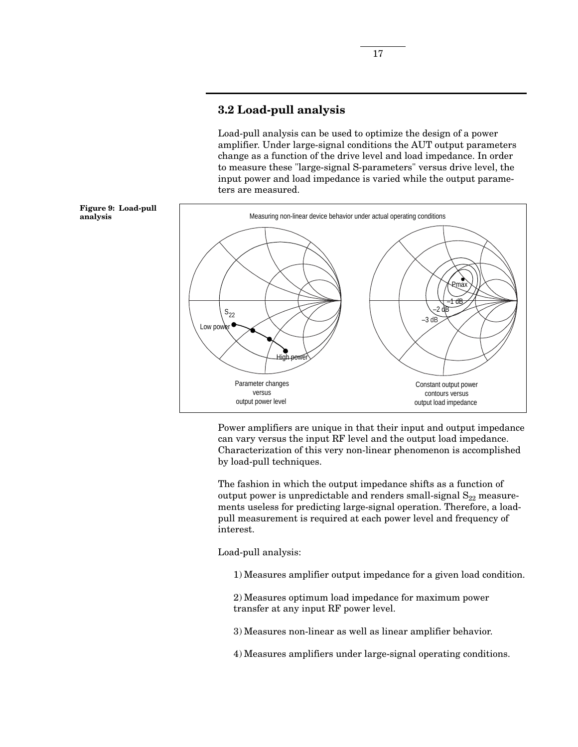# **3.2 Load-pull analysis**

Load-pull analysis can be used to optimize the design of a power amplifier. Under large-signal conditions the AUT output parameters change as a function of the drive level and load impedance. In order to measure these "large-signal S-parameters" versus drive level, the input power and load impedance is varied while the output parameters are measured.



Power amplifiers are unique in that their input and output impedance can vary versus the input RF level and the output load impedance. Characterization of this very non-linear phenomenon is accomplished by load-pull techniques.

The fashion in which the output impedance shifts as a function of output power is unpredictable and renders small-signal  $S_{22}$  measurements useless for predicting large-signal operation. Therefore, a loadpull measurement is required at each power level and frequency of interest.

Load-pull analysis:

1) Measures amplifier output impedance for a given load condition.

2) Measures optimum load impedance for maximum power transfer at any input RF power level.

3) Measures non-linear as well as linear amplifier behavior.

4) Measures amplifiers under large-signal operating conditions.

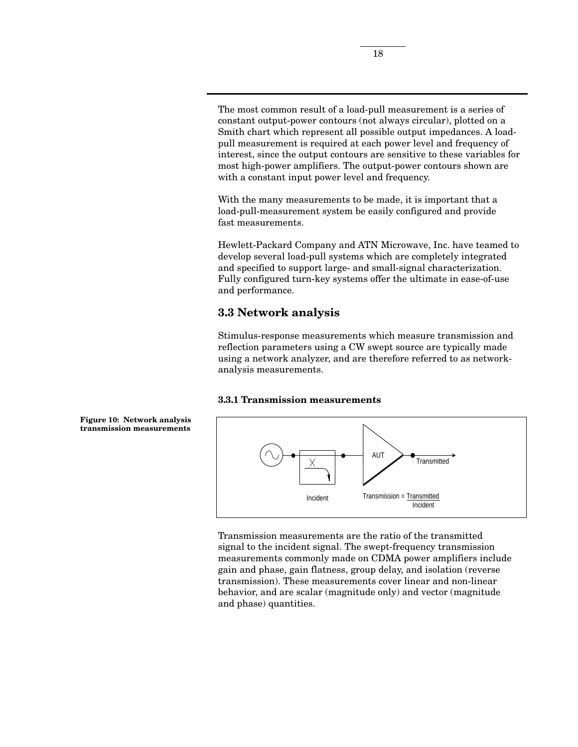The most common result of a load-pull measurement is a series of constant output-power contours (not always circular), plotted on a Smith chart which represent all possible output impedances. A loadpull measurement is required at each power level and frequency of interest, since the output contours are sensitive to these variables for most high-power amplifiers. The output-power contours shown are with a constant input power level and frequency.

With the many measurements to be made, it is important that a load-pull-measurement system be easily configured and provide fast measurements.

Hewlett-Packard Company and ATN Microwave, Inc. have teamed to develop several load-pull systems which are completely integrated and specified to support large- and small-signal characterization. Fully configured turn-key systems offer the ultimate in ease-of-use and performance.

# **3.3 Network analysis**

Stimulus-response measurements which measure transmission and reflection parameters using a CW swept source are typically made using a network analyzer, and are therefore referred to as networkanalysis measurements.

### **3.3.1 Transmission measurements**



Transmission measurements are the ratio of the transmitted signal to the incident signal. The swept-frequency transmission measurements commonly made on CDMA power amplifiers include gain and phase, gain flatness, group delay, and isolation (reverse transmission). These measurements cover linear and non-linear behavior, and are scalar (magnitude only) and vector (magnitude and phase) quantities.

**Figure 10: Network analysis transmission measurements**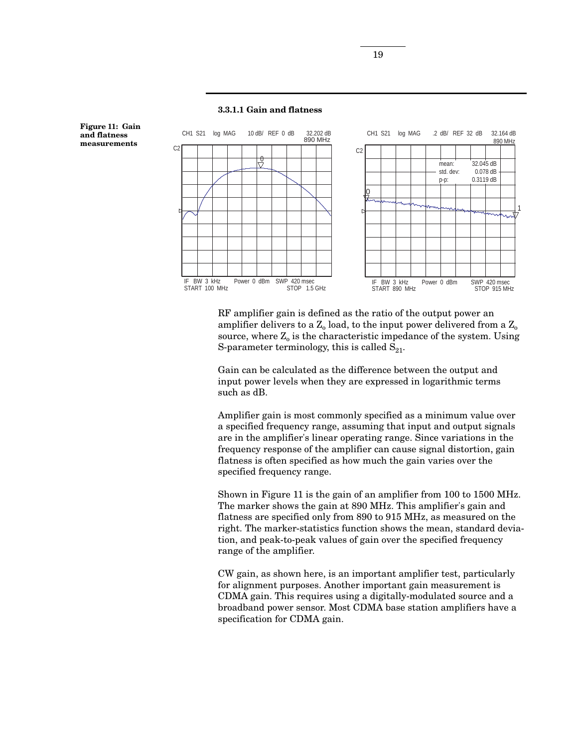

RF amplifier gain is defined as the ratio of the output power an amplifier delivers to a  $Z_0$  load, to the input power delivered from a  $Z_0$ source, where  $Z_0$  is the characteristic impedance of the system. Using S-parameter terminology, this is called  $S_{21}$ .

Gain can be calculated as the difference between the output and input power levels when they are expressed in logarithmic terms such as dB.

Amplifier gain is most commonly specified as a minimum value over a specified frequency range, assuming that input and output signals are in the amplifier's linear operating range. Since variations in the frequency response of the amplifier can cause signal distortion, gain flatness is often specified as how much the gain varies over the specified frequency range.

Shown in Figure 11 is the gain of an amplifier from 100 to 1500 MHz. The marker shows the gain at 890 MHz. This amplifier's gain and flatness are specified only from 890 to 915 MHz, as measured on the right. The marker-statistics function shows the mean, standard deviation, and peak-to-peak values of gain over the specified frequency range of the amplifier.

CW gain, as shown here, is an important amplifier test, particularly for alignment purposes. Another important gain measurement is CDMA gain. This requires using a digitally-modulated source and a broadband power sensor. Most CDMA base station amplifiers have a specification for CDMA gain.

#### **3.3.1.1 Gain and flatness**

**Figure 11: Gain and flatness measurements**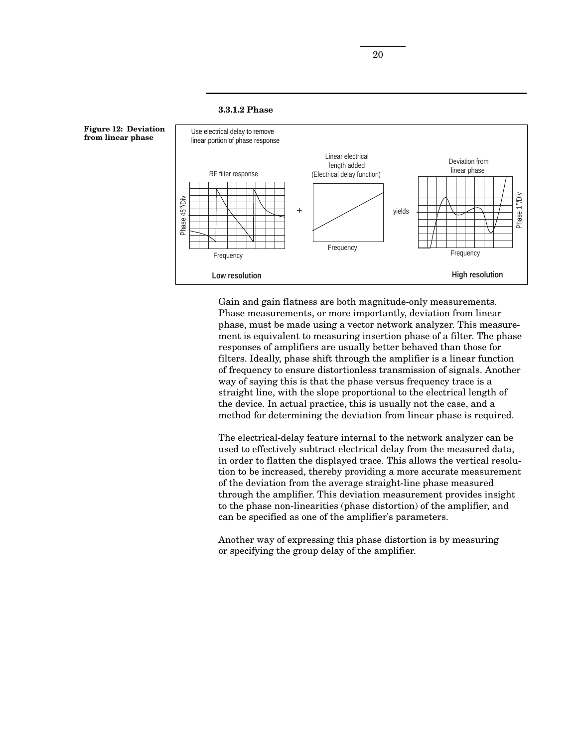### **3.3.1.2 Phase**



Gain and gain flatness are both magnitude-only measurements. Phase measurements, or more importantly, deviation from linear phase, must be made using a vector network analyzer. This measurement is equivalent to measuring insertion phase of a filter. The phase responses of amplifiers are usually better behaved than those for filters. Ideally, phase shift through the amplifier is a linear function of frequency to ensure distortionless transmission of signals. Another way of saying this is that the phase versus frequency trace is a straight line, with the slope proportional to the electrical length of the device. In actual practice, this is usually not the case, and a method for determining the deviation from linear phase is required.

The electrical-delay feature internal to the network analyzer can be used to effectively subtract electrical delay from the measured data, in order to flatten the displayed trace. This allows the vertical resolution to be increased, thereby providing a more accurate measurement of the deviation from the average straight-line phase measured through the amplifier. This deviation measurement provides insight to the phase non-linearities (phase distortion) of the amplifier, and can be specified as one of the amplifier's parameters.

Another way of expressing this phase distortion is by measuring or specifying the group delay of the amplifier.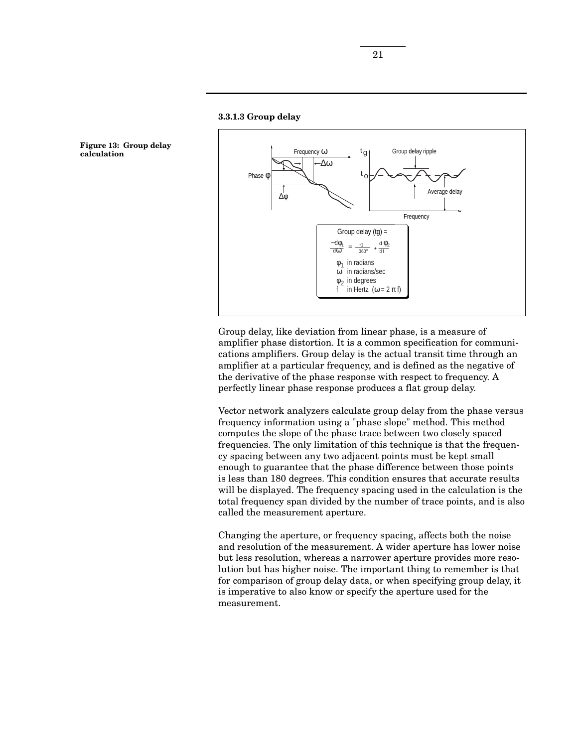



Group delay, like deviation from linear phase, is a measure of amplifier phase distortion. It is a common specification for communications amplifiers. Group delay is the actual transit time through an amplifier at a particular frequency, and is defined as the negative of the derivative of the phase response with respect to frequency. A perfectly linear phase response produces a flat group delay.

Vector network analyzers calculate group delay from the phase versus frequency information using a "phase slope" method. This method computes the slope of the phase trace between two closely spaced frequencies. The only limitation of this technique is that the frequency spacing between any two adjacent points must be kept small enough to guarantee that the phase difference between those points is less than 180 degrees. This condition ensures that accurate results will be displayed. The frequency spacing used in the calculation is the total frequency span divided by the number of trace points, and is also called the measurement aperture.

Changing the aperture, or frequency spacing, affects both the noise and resolution of the measurement. A wider aperture has lower noise but less resolution, whereas a narrower aperture provides more resolution but has higher noise. The important thing to remember is that for comparison of group delay data, or when specifying group delay, it is imperative to also know or specify the aperture used for the measurement.

**Figure 13: Group delay calculation**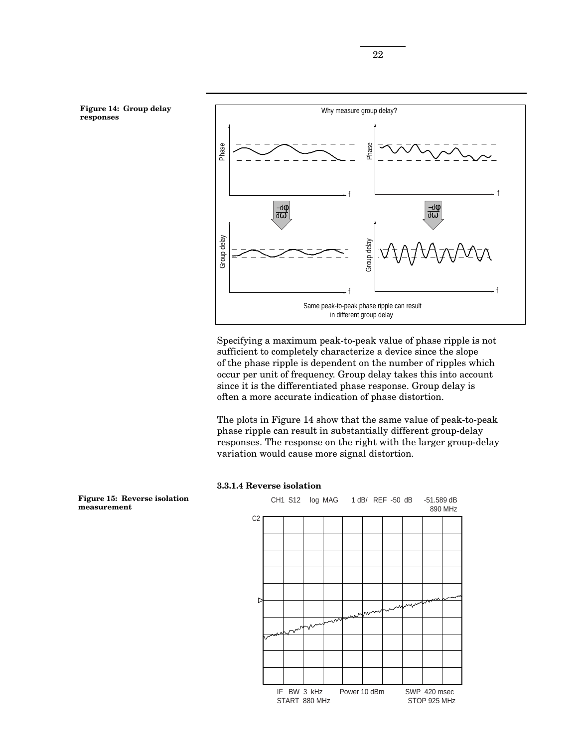

Specifying a maximum peak-to-peak value of phase ripple is not sufficient to completely characterize a device since the slope of the phase ripple is dependent on the number of ripples which occur per unit of frequency. Group delay takes this into account since it is the differentiated phase response. Group delay is often a more accurate indication of phase distortion.

The plots in Figure 14 show that the same value of peak-to-peak phase ripple can result in substantially different group-delay responses. The response on the right with the larger group-delay variation would cause more signal distortion.

#### **3.3.1.4 Reverse isolation**



**Figure 15: Reverse isolation measurement**

**Figure 14: Group delay**

**responses**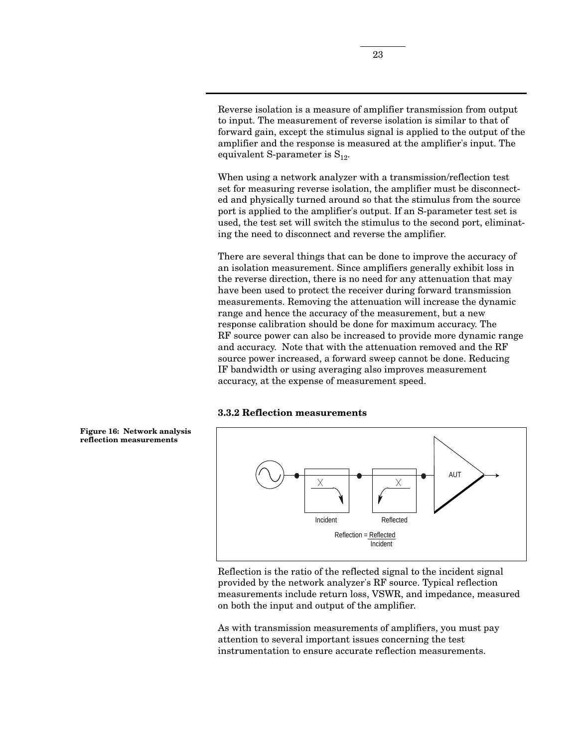Reverse isolation is a measure of amplifier transmission from output to input. The measurement of reverse isolation is similar to that of forward gain, except the stimulus signal is applied to the output of the amplifier and the response is measured at the amplifier's input. The equivalent S-parameter is  $S_{12}$ .

When using a network analyzer with a transmission/reflection test set for measuring reverse isolation, the amplifier must be disconnected and physically turned around so that the stimulus from the source port is applied to the amplifier's output. If an S-parameter test set is used, the test set will switch the stimulus to the second port, eliminating the need to disconnect and reverse the amplifier.

There are several things that can be done to improve the accuracy of an isolation measurement. Since amplifiers generally exhibit loss in the reverse direction, there is no need for any attenuation that may have been used to protect the receiver during forward transmission measurements. Removing the attenuation will increase the dynamic range and hence the accuracy of the measurement, but a new response calibration should be done for maximum accuracy. The RF source power can also be increased to provide more dynamic range and accuracy. Note that with the attenuation removed and the RF source power increased, a forward sweep cannot be done. Reducing IF bandwidth or using averaging also improves measurement accuracy, at the expense of measurement speed.

#### **3.3.2 Reflection measurements**



Reflection is the ratio of the reflected signal to the incident signal provided by the network analyzer's RF source. Typical reflection measurements include return loss, VSWR, and impedance, measured on both the input and output of the amplifier.

As with transmission measurements of amplifiers, you must pay attention to several important issues concerning the test instrumentation to ensure accurate reflection measurements.

**Figure 16: Network analysis reflection measurements**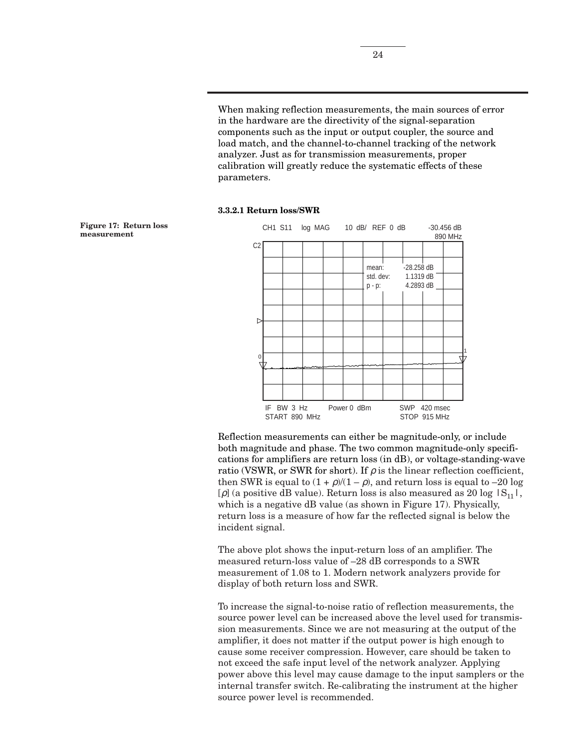When making reflection measurements, the main sources of error in the hardware are the directivity of the signal-separation components such as the input or output coupler, the source and load match, and the channel-to-channel tracking of the network analyzer. Just as for transmission measurements, proper calibration will greatly reduce the systematic effects of these parameters.

#### **3.3.2.1 Return loss/SWR**



Reflection measurements can either be magnitude-only, or include both magnitude and phase. The two common magnitude-only specifications for amplifiers are return loss (in dB), or voltage-standing-wave ratio (VSWR, or SWR for short). If  $\rho$  is the linear reflection coefficient, then SWR is equal to  $(1 + \rho)/(1 - \rho)$ , and return loss is equal to -20 log [ $\rho$ ] (a positive dB value). Return loss is also measured as 20 log  $|S_{11}|$ , which is a negative dB value (as shown in Figure 17). Physically, return loss is a measure of how far the reflected signal is below the incident signal.

The above plot shows the input-return loss of an amplifier. The measured return-loss value of –28 dB corresponds to a SWR measurement of 1.08 to 1. Modern network analyzers provide for display of both return loss and SWR.

To increase the signal-to-noise ratio of reflection measurements, the source power level can be increased above the level used for transmission measurements. Since we are not measuring at the output of the amplifier, it does not matter if the output power is high enough to cause some receiver compression. However, care should be taken to not exceed the safe input level of the network analyzer. Applying power above this level may cause damage to the input samplers or the internal transfer switch. Re-calibrating the instrument at the higher source power level is recommended.

**Figure 17: Return loss**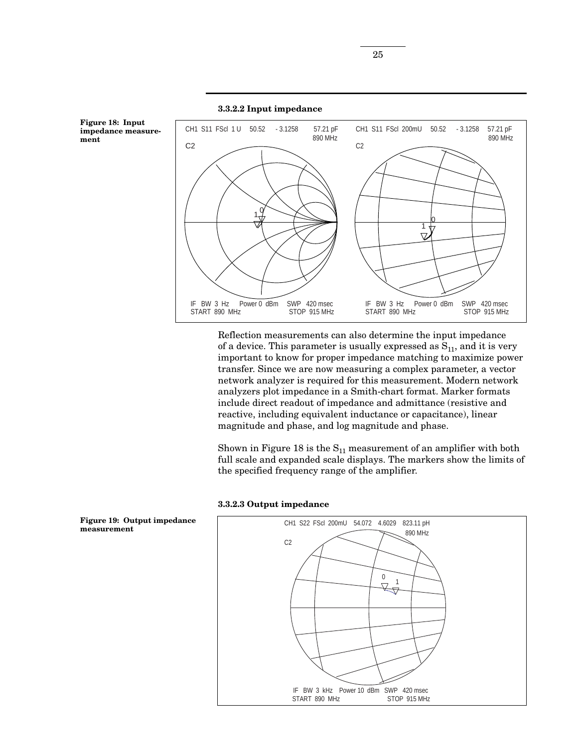

Reflection measurements can also determine the input impedance of a device. This parameter is usually expressed as  $S_{11}$ , and it is very important to know for proper impedance matching to maximize power transfer. Since we are now measuring a complex parameter, a vector network analyzer is required for this measurement. Modern network analyzers plot impedance in a Smith-chart format. Marker formats include direct readout of impedance and admittance (resistive and reactive, including equivalent inductance or capacitance), linear magnitude and phase, and log magnitude and phase.

Shown in Figure 18 is the  $S_{11}$  measurement of an amplifier with both full scale and expanded scale displays. The markers show the limits of the specified frequency range of the amplifier.





**impedance measurement**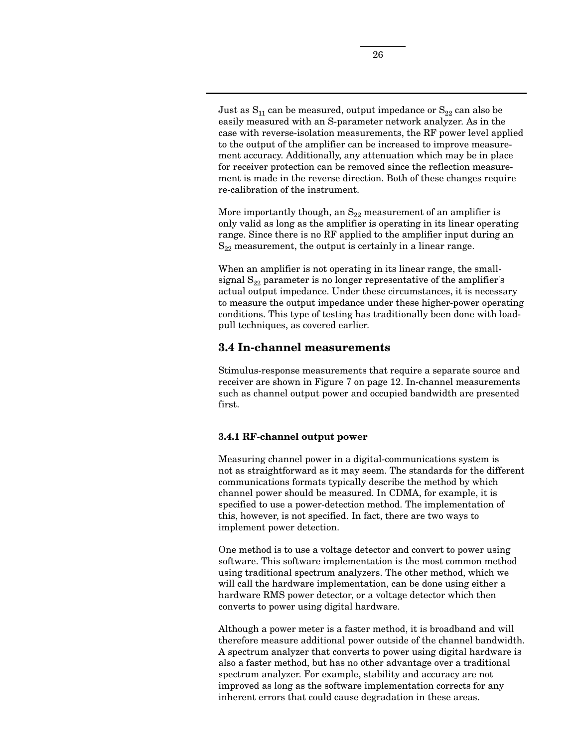Just as  $S_{11}$  can be measured, output impedance or  $S_{22}$  can also be easily measured with an S-parameter network analyzer. As in the case with reverse-isolation measurements, the RF power level applied to the output of the amplifier can be increased to improve measurement accuracy. Additionally, any attenuation which may be in place for receiver protection can be removed since the reflection measurement is made in the reverse direction. Both of these changes require re-calibration of the instrument.

More importantly though, an  $S_{22}$  measurement of an amplifier is only valid as long as the amplifier is operating in its linear operating range. Since there is no RF applied to the amplifier input during an  $S_{22}$  measurement, the output is certainly in a linear range.

When an amplifier is not operating in its linear range, the smallsignal  $S_{22}$  parameter is no longer representative of the amplifier's actual output impedance. Under these circumstances, it is necessary to measure the output impedance under these higher-power operating conditions. This type of testing has traditionally been done with loadpull techniques, as covered earlier.

## **3.4 In-channel measurements**

Stimulus-response measurements that require a separate source and receiver are shown in Figure 7 on page 12. In-channel measurements such as channel output power and occupied bandwidth are presented first.

### **3.4.1 RF-channel output power**

Measuring channel power in a digital-communications system is not as straightforward as it may seem. The standards for the different communications formats typically describe the method by which channel power should be measured. In CDMA, for example, it is specified to use a power-detection method. The implementation of this, however, is not specified. In fact, there are two ways to implement power detection.

One method is to use a voltage detector and convert to power using software. This software implementation is the most common method using traditional spectrum analyzers. The other method, which we will call the hardware implementation, can be done using either a hardware RMS power detector, or a voltage detector which then converts to power using digital hardware.

Although a power meter is a faster method, it is broadband and will therefore measure additional power outside of the channel bandwidth. A spectrum analyzer that converts to power using digital hardware is also a faster method, but has no other advantage over a traditional spectrum analyzer. For example, stability and accuracy are not improved as long as the software implementation corrects for any inherent errors that could cause degradation in these areas.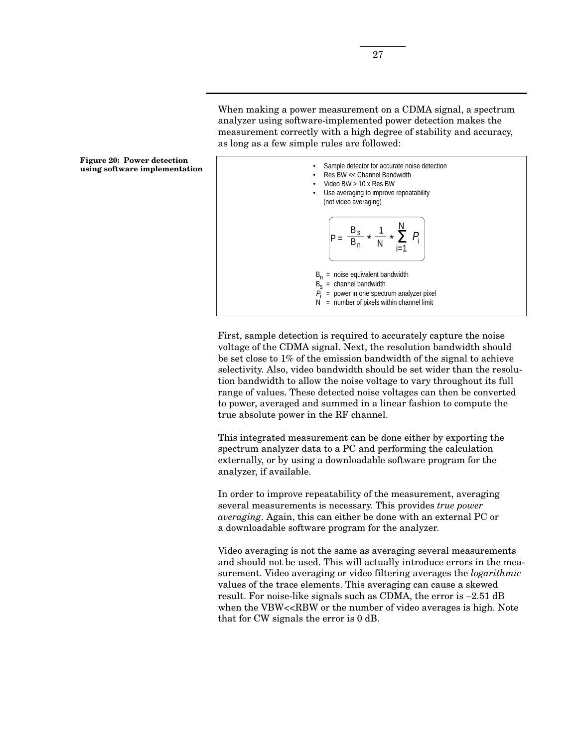



First, sample detection is required to accurately capture the noise voltage of the CDMA signal. Next, the resolution bandwidth should be set close to 1% of the emission bandwidth of the signal to achieve selectivity. Also, video bandwidth should be set wider than the resolution bandwidth to allow the noise voltage to vary throughout its full range of values. These detected noise voltages can then be converted to power, averaged and summed in a linear fashion to compute the true absolute power in the RF channel.

This integrated measurement can be done either by exporting the spectrum analyzer data to a PC and performing the calculation externally, or by using a downloadable software program for the analyzer, if available.

In order to improve repeatability of the measurement, averaging several measurements is necessary. This provides *true power averaging*. Again, this can either be done with an external PC or a downloadable software program for the analyzer.

Video averaging is not the same as averaging several measurements and should not be used. This will actually introduce errors in the measurement. Video averaging or video filtering averages the *logarithmic* values of the trace elements. This averaging can cause a skewed result. For noise-like signals such as CDMA, the error is –2.51 dB when the VBW<<RBW or the number of video averages is high. Note that for CW signals the error is 0 dB.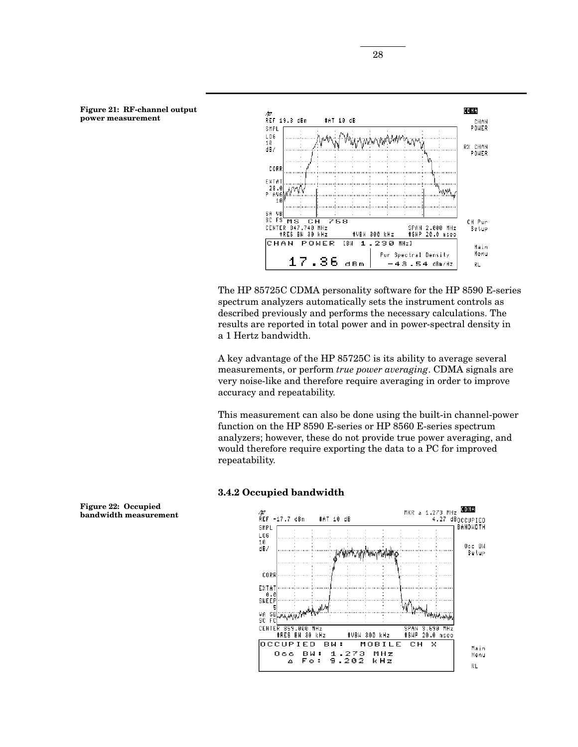



The HP 85725C CDMA personality software for the HP 8590 E-series spectrum analyzers automatically sets the instrument controls as described previously and performs the necessary calculations. The results are reported in total power and in power-spectral density in a 1 Hertz bandwidth.

A key advantage of the HP 85725C is its ability to average several measurements, or perform *true power averaging*. CDMA signals are very noise-like and therefore require averaging in order to improve accuracy and repeatability.

This measurement can also be done using the built-in channel-power function on the HP 8590 E-series or HP 8560 E-series spectrum analyzers; however, these do not provide true power averaging, and would therefore require exporting the data to a PC for improved repeatability.

#### **3.4.2 Occupied bandwidth**



**Figure 22: Occupied bandwidth measurement**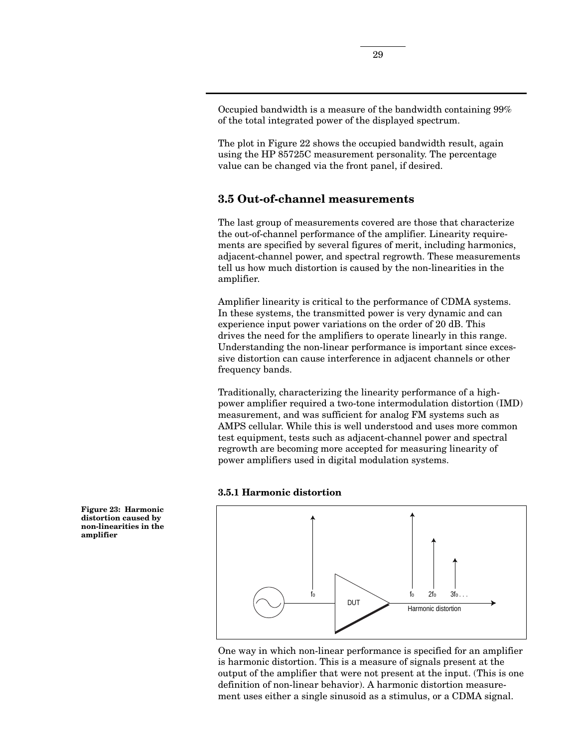Occupied bandwidth is a measure of the bandwidth containing 99% of the total integrated power of the displayed spectrum.

The plot in Figure 22 shows the occupied bandwidth result, again using the HP 85725C measurement personality. The percentage value can be changed via the front panel, if desired.

# **3.5 Out-of-channel measurements**

The last group of measurements covered are those that characterize the out-of-channel performance of the amplifier. Linearity requirements are specified by several figures of merit, including harmonics, adjacent-channel power, and spectral regrowth. These measurements tell us how much distortion is caused by the non-linearities in the amplifier.

Amplifier linearity is critical to the performance of CDMA systems. In these systems, the transmitted power is very dynamic and can experience input power variations on the order of 20 dB. This drives the need for the amplifiers to operate linearly in this range. Understanding the non-linear performance is important since excessive distortion can cause interference in adjacent channels or other frequency bands.

Traditionally, characterizing the linearity performance of a highpower amplifier required a two-tone intermodulation distortion (IMD) measurement, and was sufficient for analog FM systems such as AMPS cellular. While this is well understood and uses more common test equipment, tests such as adjacent-channel power and spectral regrowth are becoming more accepted for measuring linearity of power amplifiers used in digital modulation systems.

### **3.5.1 Harmonic distortion**



One way in which non-linear performance is specified for an amplifier is harmonic distortion. This is a measure of signals present at the output of the amplifier that were not present at the input. (This is one definition of non-linear behavior). A harmonic distortion measurement uses either a single sinusoid as a stimulus, or a CDMA signal.

**Figure 23: Harmonic distortion caused by non-linearities in the amplifier**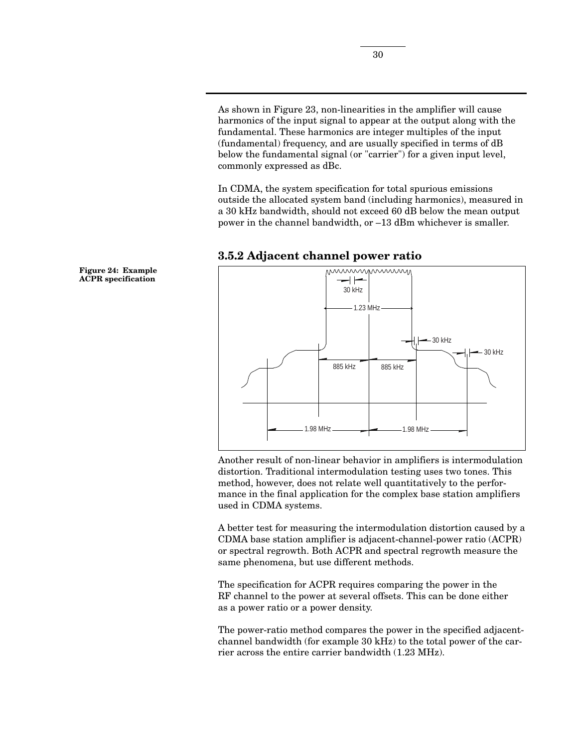As shown in Figure 23, non-linearities in the amplifier will cause harmonics of the input signal to appear at the output along with the fundamental. These harmonics are integer multiples of the input (fundamental) frequency, and are usually specified in terms of dB below the fundamental signal (or "carrier") for a given input level, commonly expressed as dBc.

In CDMA, the system specification for total spurious emissions outside the allocated system band (including harmonics), measured in a 30 kHz bandwidth, should not exceed 60 dB below the mean output power in the channel bandwidth, or –13 dBm whichever is smaller.



### **3.5.2 Adjacent channel power ratio**

Another result of non-linear behavior in amplifiers is intermodulation distortion. Traditional intermodulation testing uses two tones. This method, however, does not relate well quantitatively to the performance in the final application for the complex base station amplifiers used in CDMA systems.

A better test for measuring the intermodulation distortion caused by a CDMA base station amplifier is adjacent-channel-power ratio (ACPR) or spectral regrowth. Both ACPR and spectral regrowth measure the same phenomena, but use different methods.

The specification for ACPR requires comparing the power in the RF channel to the power at several offsets. This can be done either as a power ratio or a power density.

The power-ratio method compares the power in the specified adjacentchannel bandwidth (for example 30 kHz) to the total power of the carrier across the entire carrier bandwidth (1.23 MHz).

**Figure 24: Example ACPR specification**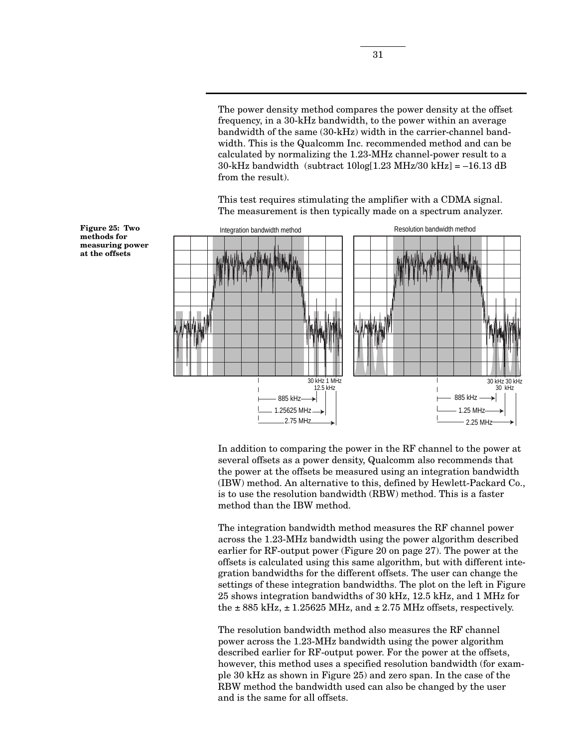The power density method compares the power density at the offset frequency, in a 30-kHz bandwidth, to the power within an average bandwidth of the same (30-kHz) width in the carrier-channel bandwidth. This is the Qualcomm Inc. recommended method and can be calculated by normalizing the 1.23-MHz channel-power result to a 30-kHz bandwidth (subtract  $10\log[1.23 \text{ MHz}/30 \text{ kHz}] = -16.13 \text{ dB}$ from the result).

This test requires stimulating the amplifier with a CDMA signal. The measurement is then typically made on a spectrum analyzer.



**methods for measuring power at the offsets**

**Figure 25: Two**

In addition to comparing the power in the RF channel to the power at several offsets as a power density, Qualcomm also recommends that the power at the offsets be measured using an integration bandwidth (IBW) method. An alternative to this, defined by Hewlett-Packard Co., is to use the resolution bandwidth (RBW) method. This is a faster method than the IBW method.

The integration bandwidth method measures the RF channel power across the 1.23-MHz bandwidth using the power algorithm described earlier for RF-output power (Figure 20 on page 27). The power at the offsets is calculated using this same algorithm, but with different integration bandwidths for the different offsets. The user can change the settings of these integration bandwidths. The plot on the left in Figure 25 shows integration bandwidths of 30 kHz, 12.5 kHz, and 1 MHz for the  $\pm$  885 kHz,  $\pm$  1.25625 MHz, and  $\pm$  2.75 MHz offsets, respectively.

The resolution bandwidth method also measures the RF channel power across the 1.23-MHz bandwidth using the power algorithm described earlier for RF-output power. For the power at the offsets, however, this method uses a specified resolution bandwidth (for example 30 kHz as shown in Figure 25) and zero span. In the case of the RBW method the bandwidth used can also be changed by the user and is the same for all offsets.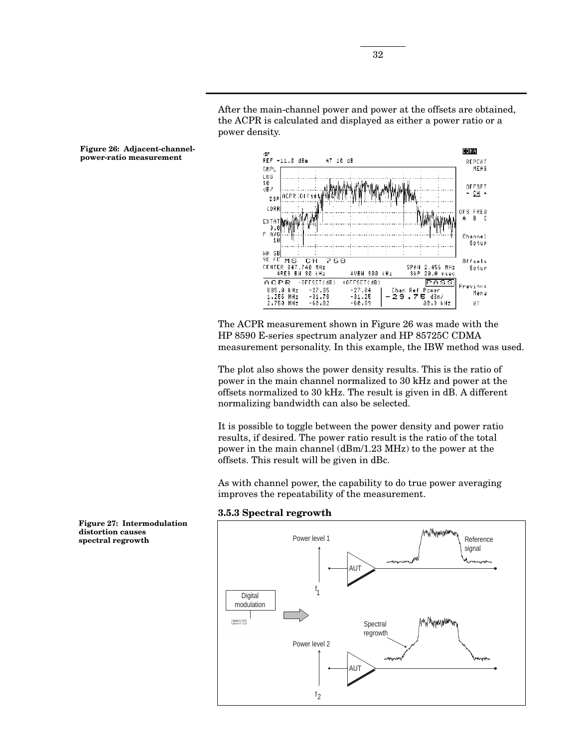After the main-channel power and power at the offsets are obtained, the ACPR is calculated and displayed as either a power ratio or a power density.



The ACPR measurement shown in Figure 26 was made with the HP 8590 E-series spectrum analyzer and HP 85725C CDMA measurement personality. In this example, the IBW method was used.

The plot also shows the power density results. This is the ratio of power in the main channel normalized to 30 kHz and power at the offsets normalized to 30 kHz. The result is given in dB. A different normalizing bandwidth can also be selected.

It is possible to toggle between the power density and power ratio results, if desired. The power ratio result is the ratio of the total power in the main channel (dBm/1.23 MHz) to the power at the offsets. This result will be given in dBc.

As with channel power, the capability to do true power averaging improves the repeatability of the measurement.

**3.5.3 Spectral regrowth**



**Figure 26: Adjacent-channelpower-ratio measurement**

**Figure 27: Intermodulation distortion causes spectral regrowth**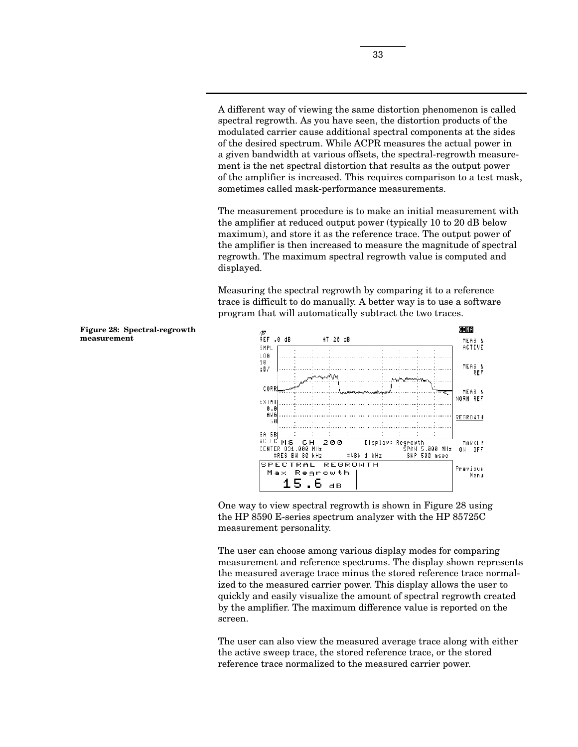A different way of viewing the same distortion phenomenon is called spectral regrowth. As you have seen, the distortion products of the modulated carrier cause additional spectral components at the sides of the desired spectrum. While ACPR measures the actual power in a given bandwidth at various offsets, the spectral-regrowth measurement is the net spectral distortion that results as the output power of the amplifier is increased. This requires comparison to a test mask, sometimes called mask-performance measurements.

The measurement procedure is to make an initial measurement with the amplifier at reduced output power (typically 10 to 20 dB below maximum), and store it as the reference trace. The output power of the amplifier is then increased to measure the magnitude of spectral regrowth. The maximum spectral regrowth value is computed and displayed.

Measuring the spectral regrowth by comparing it to a reference trace is difficult to do manually. A better way is to use a software program that will automatically subtract the two traces.



One way to view spectral regrowth is shown in Figure 28 using the HP 8590 E-series spectrum analyzer with the HP 85725C measurement personality.

The user can choose among various display modes for comparing measurement and reference spectrums. The display shown represents the measured average trace minus the stored reference trace normalized to the measured carrier power. This display allows the user to quickly and easily visualize the amount of spectral regrowth created by the amplifier. The maximum difference value is reported on the screen.

The user can also view the measured average trace along with either the active sweep trace, the stored reference trace, or the stored reference trace normalized to the measured carrier power.

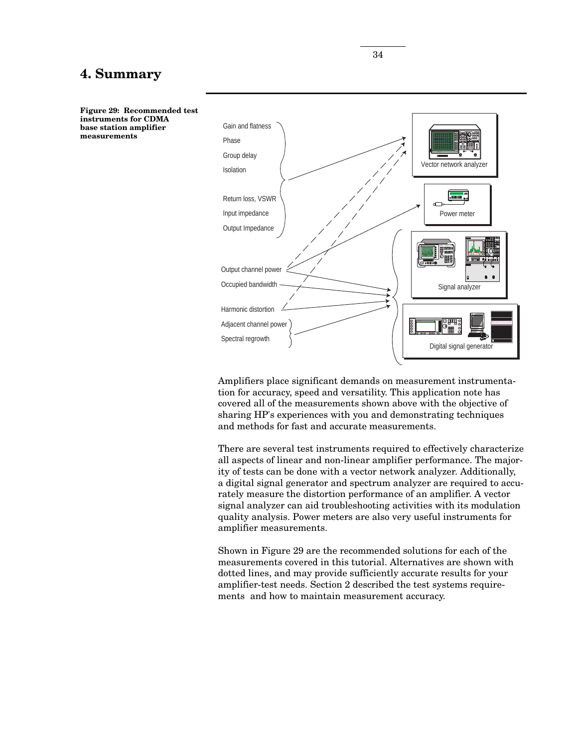# **4. Summary**



Amplifiers place significant demands on measurement instrumentation for accuracy, speed and versatility. This application note has covered all of the measurements shown above with the objective of sharing HP's experiences with you and demonstrating techniques and methods for fast and accurate measurements.

There are several test instruments required to effectively characterize all aspects of linear and non-linear amplifier performance. The majority of tests can be done with a vector network analyzer. Additionally, a digital signal generator and spectrum analyzer are required to accurately measure the distortion performance of an amplifier. A vector signal analyzer can aid troubleshooting activities with its modulation quality analysis. Power meters are also very useful instruments for amplifier measurements.

Shown in Figure 29 are the recommended solutions for each of the measurements covered in this tutorial. Alternatives are shown with dotted lines, and may provide sufficiently accurate results for your amplifier-test needs. Section 2 described the test systems requirements and how to maintain measurement accuracy.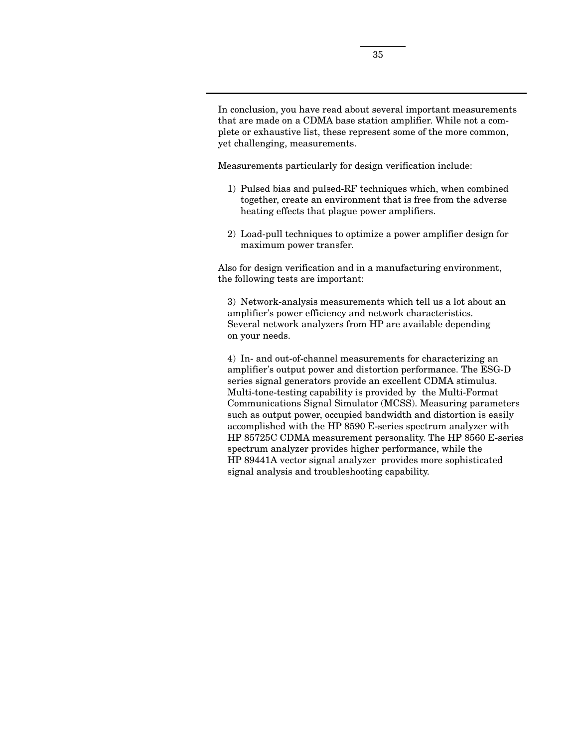In conclusion, you have read about several important measurements that are made on a CDMA base station amplifier. While not a complete or exhaustive list, these represent some of the more common, yet challenging, measurements.

Measurements particularly for design verification include:

- 1) Pulsed bias and pulsed-RF techniques which, when combined together, create an environment that is free from the adverse heating effects that plague power amplifiers.
- 2) Load-pull techniques to optimize a power amplifier design for maximum power transfer.

Also for design verification and in a manufacturing environment, the following tests are important:

3) Network-analysis measurements which tell us a lot about an amplifier's power efficiency and network characteristics. Several network analyzers from HP are available depending on your needs.

4) In- and out-of-channel measurements for characterizing an amplifier's output power and distortion performance. The ESG-D series signal generators provide an excellent CDMA stimulus. Multi-tone-testing capability is provided by the Multi-Format Communications Signal Simulator (MCSS). Measuring parameters such as output power, occupied bandwidth and distortion is easily accomplished with the HP 8590 E-series spectrum analyzer with HP 85725C CDMA measurement personality. The HP 8560 E-series spectrum analyzer provides higher performance, while the HP 89441A vector signal analyzer provides more sophisticated signal analysis and troubleshooting capability.